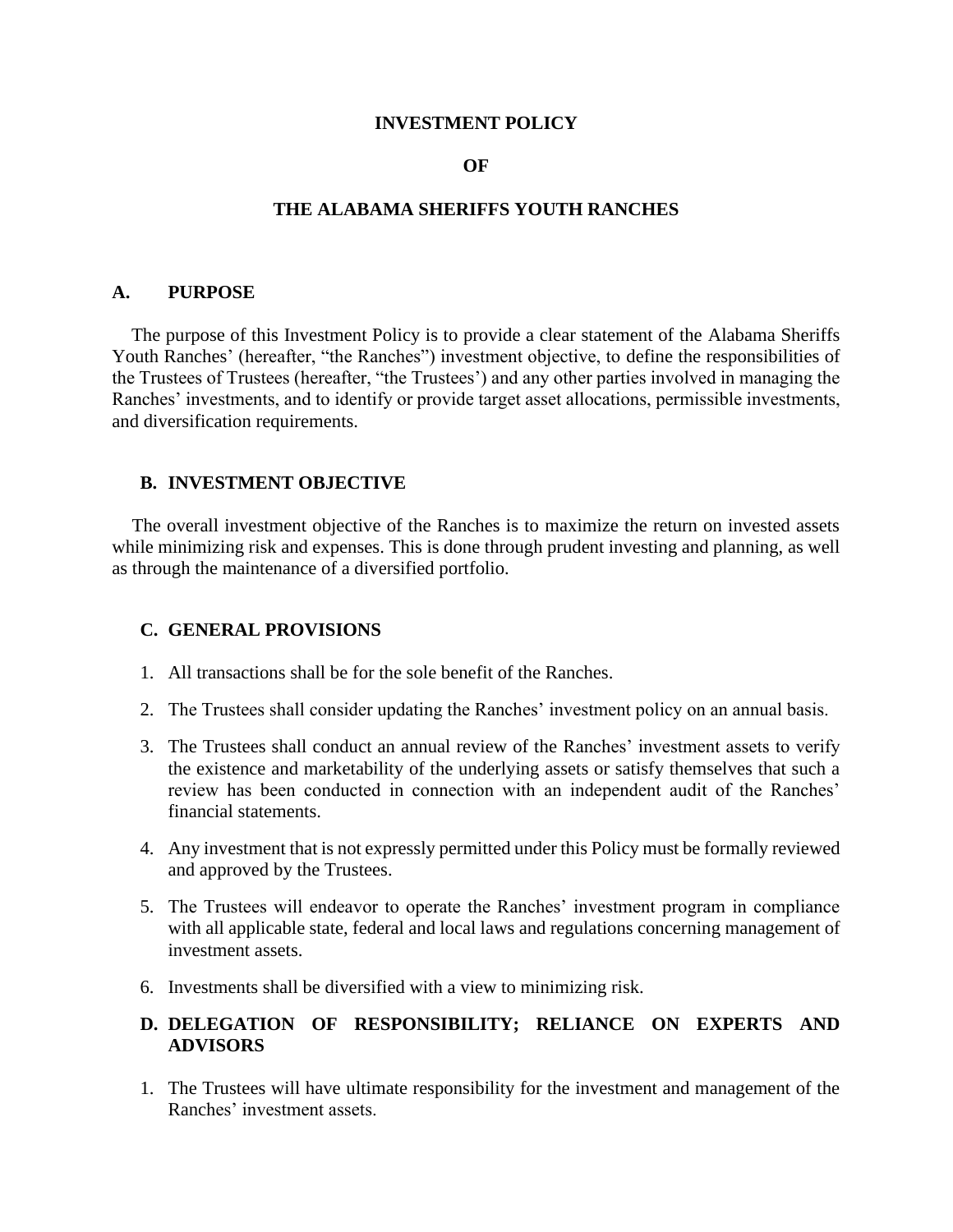#### **INVESTMENT POLICY**

#### **OF**

#### **THE ALABAMA SHERIFFS YOUTH RANCHES**

#### **A. PURPOSE**

 The purpose of this Investment Policy is to provide a clear statement of the Alabama Sheriffs Youth Ranches' (hereafter, "the Ranches") investment objective, to define the responsibilities of the Trustees of Trustees (hereafter, "the Trustees') and any other parties involved in managing the Ranches' investments, and to identify or provide target asset allocations, permissible investments, and diversification requirements.

#### **B. INVESTMENT OBJECTIVE**

 The overall investment objective of the Ranches is to maximize the return on invested assets while minimizing risk and expenses. This is done through prudent investing and planning, as well as through the maintenance of a diversified portfolio.

#### **C. GENERAL PROVISIONS**

- 1. All transactions shall be for the sole benefit of the Ranches.
- 2. The Trustees shall consider updating the Ranches' investment policy on an annual basis.
- 3. The Trustees shall conduct an annual review of the Ranches' investment assets to verify the existence and marketability of the underlying assets or satisfy themselves that such a review has been conducted in connection with an independent audit of the Ranches' financial statements.
- 4. Any investment that is not expressly permitted under this Policy must be formally reviewed and approved by the Trustees.
- 5. The Trustees will endeavor to operate the Ranches' investment program in compliance with all applicable state, federal and local laws and regulations concerning management of investment assets.
- 6. Investments shall be diversified with a view to minimizing risk.

#### **D. DELEGATION OF RESPONSIBILITY; RELIANCE ON EXPERTS AND ADVISORS**

1. The Trustees will have ultimate responsibility for the investment and management of the Ranches' investment assets.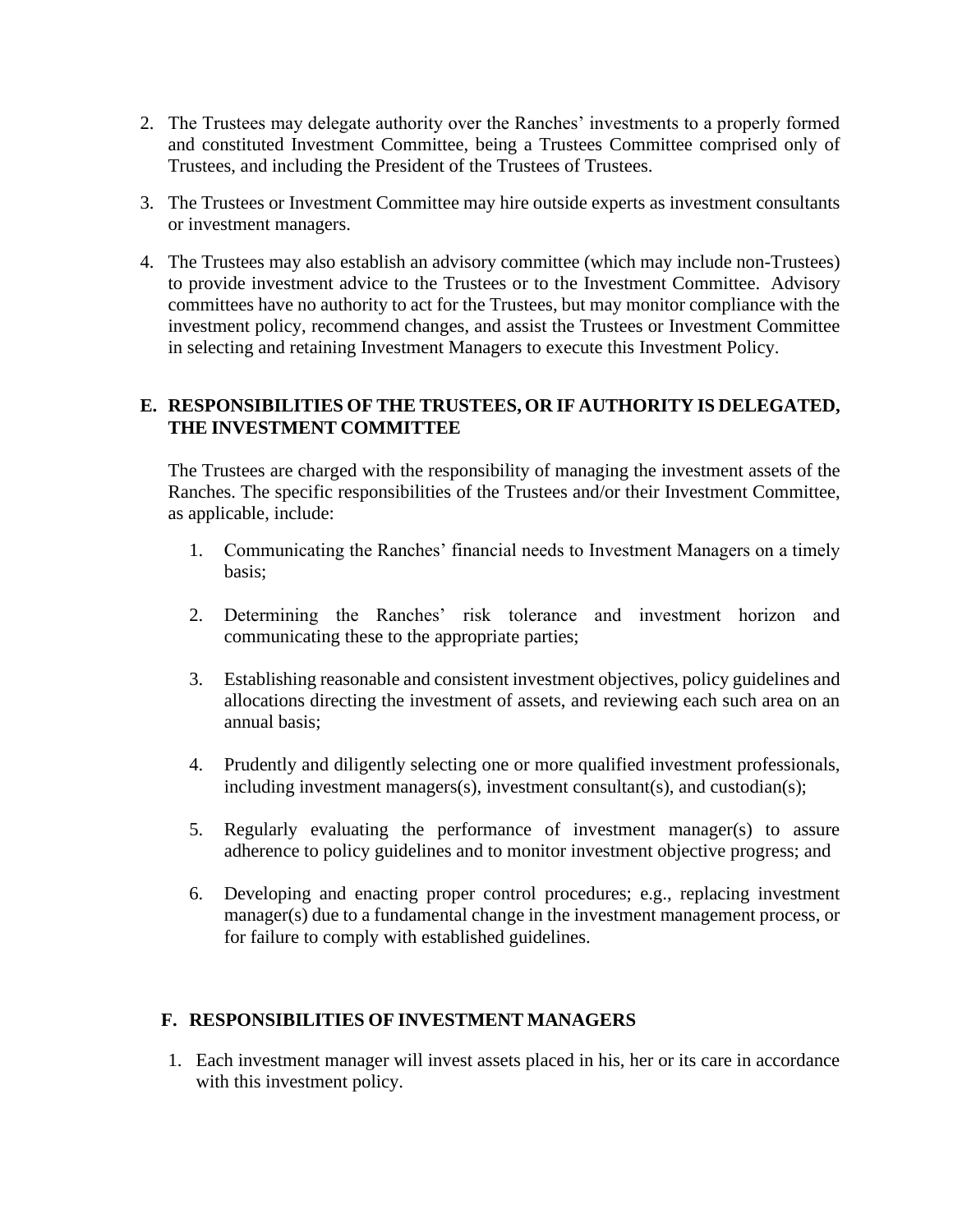- 2. The Trustees may delegate authority over the Ranches' investments to a properly formed and constituted Investment Committee, being a Trustees Committee comprised only of Trustees, and including the President of the Trustees of Trustees.
- 3. The Trustees or Investment Committee may hire outside experts as investment consultants or investment managers.
- 4. The Trustees may also establish an advisory committee (which may include non-Trustees) to provide investment advice to the Trustees or to the Investment Committee. Advisory committees have no authority to act for the Trustees, but may monitor compliance with the investment policy, recommend changes, and assist the Trustees or Investment Committee in selecting and retaining Investment Managers to execute this Investment Policy.

# **E. RESPONSIBILITIES OF THE TRUSTEES, OR IF AUTHORITY IS DELEGATED, THE INVESTMENT COMMITTEE**

The Trustees are charged with the responsibility of managing the investment assets of the Ranches. The specific responsibilities of the Trustees and/or their Investment Committee, as applicable, include:

- 1. Communicating the Ranches' financial needs to Investment Managers on a timely basis;
- 2. Determining the Ranches' risk tolerance and investment horizon and communicating these to the appropriate parties;
- 3. Establishing reasonable and consistent investment objectives, policy guidelines and allocations directing the investment of assets, and reviewing each such area on an annual basis;
- 4. Prudently and diligently selecting one or more qualified investment professionals, including investment managers(s), investment consultant(s), and custodian(s);
- 5. Regularly evaluating the performance of investment manager(s) to assure adherence to policy guidelines and to monitor investment objective progress; and
- 6. Developing and enacting proper control procedures; e.g., replacing investment manager(s) due to a fundamental change in the investment management process, or for failure to comply with established guidelines.

# **F. RESPONSIBILITIES OF INVESTMENT MANAGERS**

1. Each investment manager will invest assets placed in his, her or its care in accordance with this investment policy.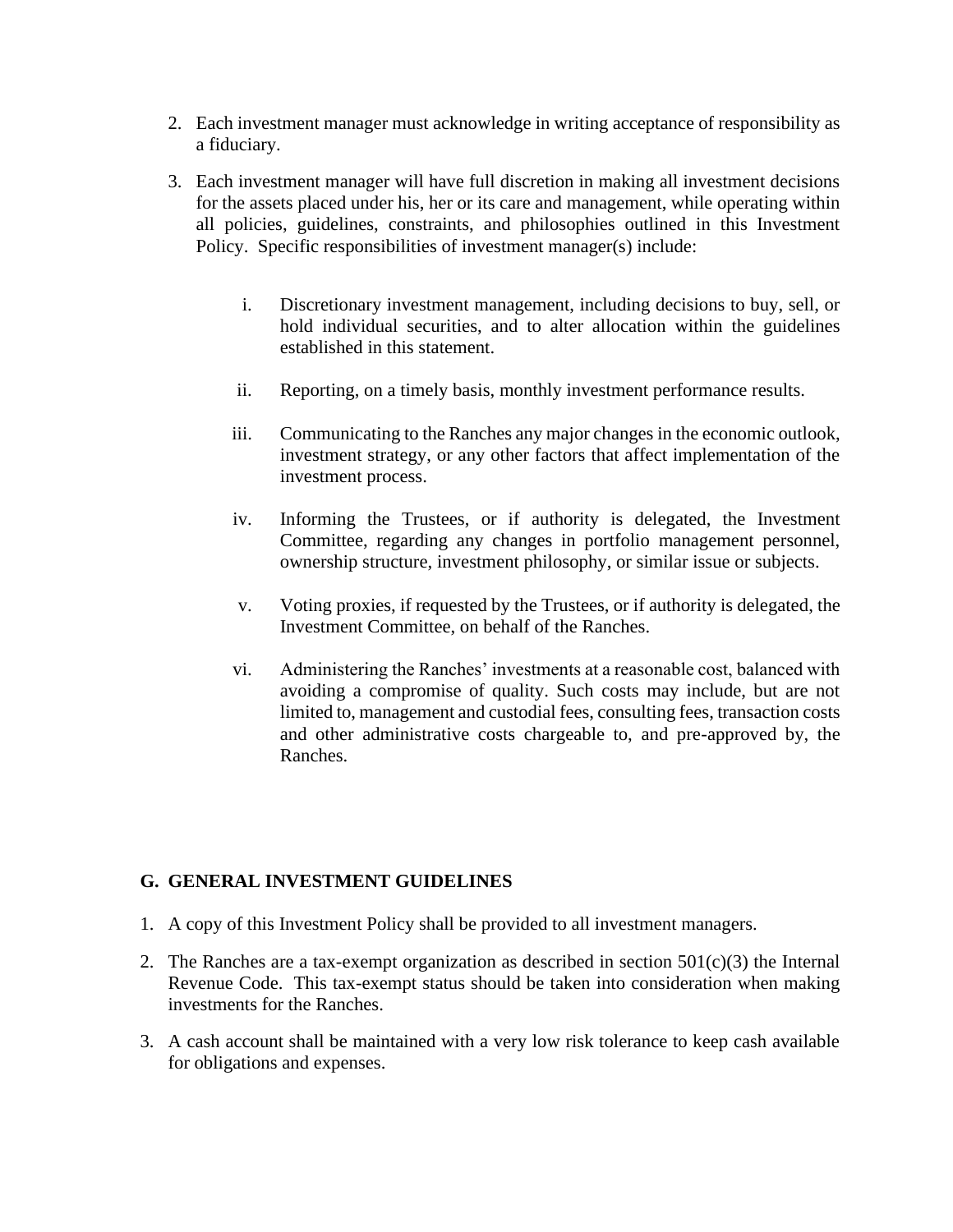- 2. Each investment manager must acknowledge in writing acceptance of responsibility as a fiduciary.
- 3. Each investment manager will have full discretion in making all investment decisions for the assets placed under his, her or its care and management, while operating within all policies, guidelines, constraints, and philosophies outlined in this Investment Policy. Specific responsibilities of investment manager(s) include:
	- i. Discretionary investment management, including decisions to buy, sell, or hold individual securities, and to alter allocation within the guidelines established in this statement.
	- ii. Reporting, on a timely basis, monthly investment performance results.
	- iii. Communicating to the Ranches any major changes in the economic outlook, investment strategy, or any other factors that affect implementation of the investment process.
	- iv. Informing the Trustees, or if authority is delegated, the Investment Committee, regarding any changes in portfolio management personnel, ownership structure, investment philosophy, or similar issue or subjects.
	- v. Voting proxies, if requested by the Trustees, or if authority is delegated, the Investment Committee, on behalf of the Ranches.
	- vi. Administering the Ranches' investments at a reasonable cost, balanced with avoiding a compromise of quality. Such costs may include, but are not limited to, management and custodial fees, consulting fees, transaction costs and other administrative costs chargeable to, and pre-approved by, the Ranches.

# **G. GENERAL INVESTMENT GUIDELINES**

- 1. A copy of this Investment Policy shall be provided to all investment managers.
- 2. The Ranches are a tax-exempt organization as described in section  $501(c)(3)$  the Internal Revenue Code. This tax-exempt status should be taken into consideration when making investments for the Ranches.
- 3. A cash account shall be maintained with a very low risk tolerance to keep cash available for obligations and expenses.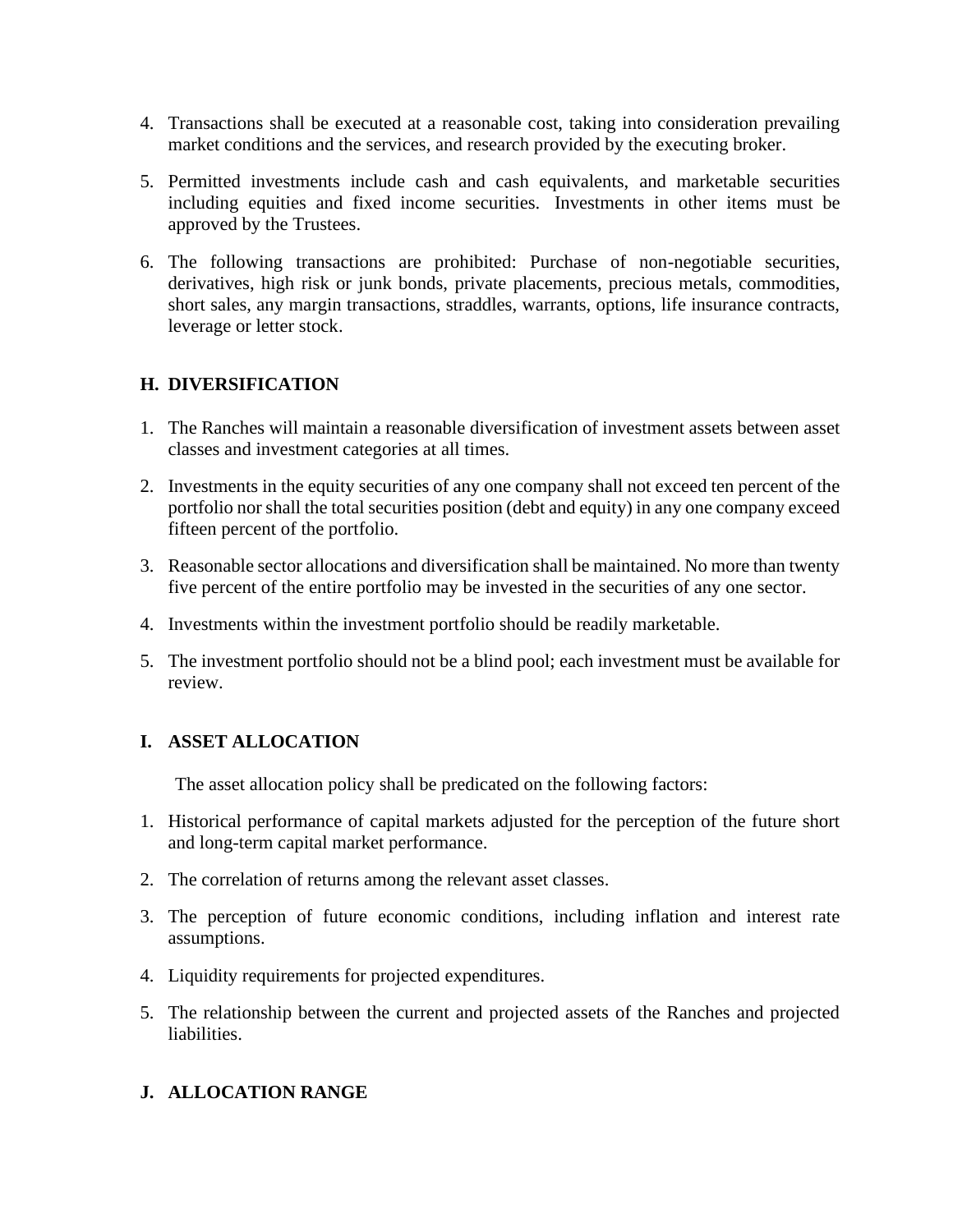- 4. Transactions shall be executed at a reasonable cost, taking into consideration prevailing market conditions and the services, and research provided by the executing broker.
- 5. Permitted investments include cash and cash equivalents, and marketable securities including equities and fixed income securities. Investments in other items must be approved by the Trustees.
- 6. The following transactions are prohibited: Purchase of non-negotiable securities, derivatives, high risk or junk bonds, private placements, precious metals, commodities, short sales, any margin transactions, straddles, warrants, options, life insurance contracts, leverage or letter stock.

# **H. DIVERSIFICATION**

- 1. The Ranches will maintain a reasonable diversification of investment assets between asset classes and investment categories at all times.
- 2. Investments in the equity securities of any one company shall not exceed ten percent of the portfolio nor shall the total securities position (debt and equity) in any one company exceed fifteen percent of the portfolio.
- 3. Reasonable sector allocations and diversification shall be maintained. No more than twenty five percent of the entire portfolio may be invested in the securities of any one sector.
- 4. Investments within the investment portfolio should be readily marketable.
- 5. The investment portfolio should not be a blind pool; each investment must be available for review.

# **I. ASSET ALLOCATION**

The asset allocation policy shall be predicated on the following factors:

- 1. Historical performance of capital markets adjusted for the perception of the future short and long-term capital market performance.
- 2. The correlation of returns among the relevant asset classes.
- 3. The perception of future economic conditions, including inflation and interest rate assumptions.
- 4. Liquidity requirements for projected expenditures.
- 5. The relationship between the current and projected assets of the Ranches and projected liabilities.

# **J. ALLOCATION RANGE**